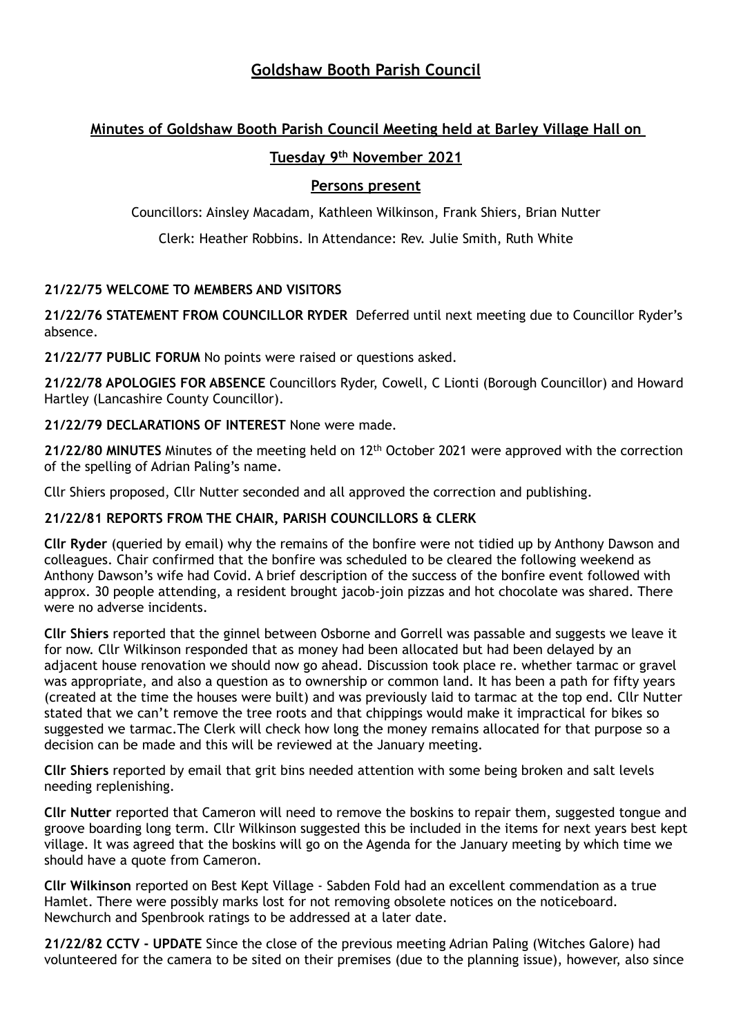## **Goldshaw Booth Parish Council**

# **Minutes of Goldshaw Booth Parish Council Meeting held at Barley Village Hall on**

## **Tuesday 9th November 2021**

### **Persons present**

Councillors: Ainsley Macadam, Kathleen Wilkinson, Frank Shiers, Brian Nutter

Clerk: Heather Robbins. In Attendance: Rev. Julie Smith, Ruth White

## **21/22/75 WELCOME TO MEMBERS AND VISITORS**

**21/22/76 STATEMENT FROM COUNCILLOR RYDER** Deferred until next meeting due to Councillor Ryder's absence.

**21/22/77 PUBLIC FORUM** No points were raised or questions asked.

**21/22/78 APOLOGIES FOR ABSENCE** Councillors Ryder, Cowell, C Lionti (Borough Councillor) and Howard Hartley (Lancashire County Councillor).

**21/22/79 DECLARATIONS OF INTEREST** None were made.

**21/22/80 MINUTES** Minutes of the meeting held on 12th October 2021 were approved with the correction of the spelling of Adrian Paling's name.

Cllr Shiers proposed, Cllr Nutter seconded and all approved the correction and publishing.

## **21/22/81 REPORTS FROM THE CHAIR, PARISH COUNCILLORS & CLERK**

**Cllr Ryder** (queried by email) why the remains of the bonfire were not tidied up by Anthony Dawson and colleagues. Chair confirmed that the bonfire was scheduled to be cleared the following weekend as Anthony Dawson's wife had Covid. A brief description of the success of the bonfire event followed with approx. 30 people attending, a resident brought jacob-join pizzas and hot chocolate was shared. There were no adverse incidents.

**Cllr Shiers** reported that the ginnel between Osborne and Gorrell was passable and suggests we leave it for now. Cllr Wilkinson responded that as money had been allocated but had been delayed by an adjacent house renovation we should now go ahead. Discussion took place re. whether tarmac or gravel was appropriate, and also a question as to ownership or common land. It has been a path for fifty years (created at the time the houses were built) and was previously laid to tarmac at the top end. Cllr Nutter stated that we can't remove the tree roots and that chippings would make it impractical for bikes so suggested we tarmac.The Clerk will check how long the money remains allocated for that purpose so a decision can be made and this will be reviewed at the January meeting.

**Cllr Shiers** reported by email that grit bins needed attention with some being broken and salt levels needing replenishing.

**Cllr Nutter** reported that Cameron will need to remove the boskins to repair them, suggested tongue and groove boarding long term. Cllr Wilkinson suggested this be included in the items for next years best kept village. It was agreed that the boskins will go on the Agenda for the January meeting by which time we should have a quote from Cameron.

**Cllr Wilkinson** reported on Best Kept Village - Sabden Fold had an excellent commendation as a true Hamlet. There were possibly marks lost for not removing obsolete notices on the noticeboard. Newchurch and Spenbrook ratings to be addressed at a later date.

**21/22/82 CCTV - UPDATE** Since the close of the previous meeting Adrian Paling (Witches Galore) had volunteered for the camera to be sited on their premises (due to the planning issue), however, also since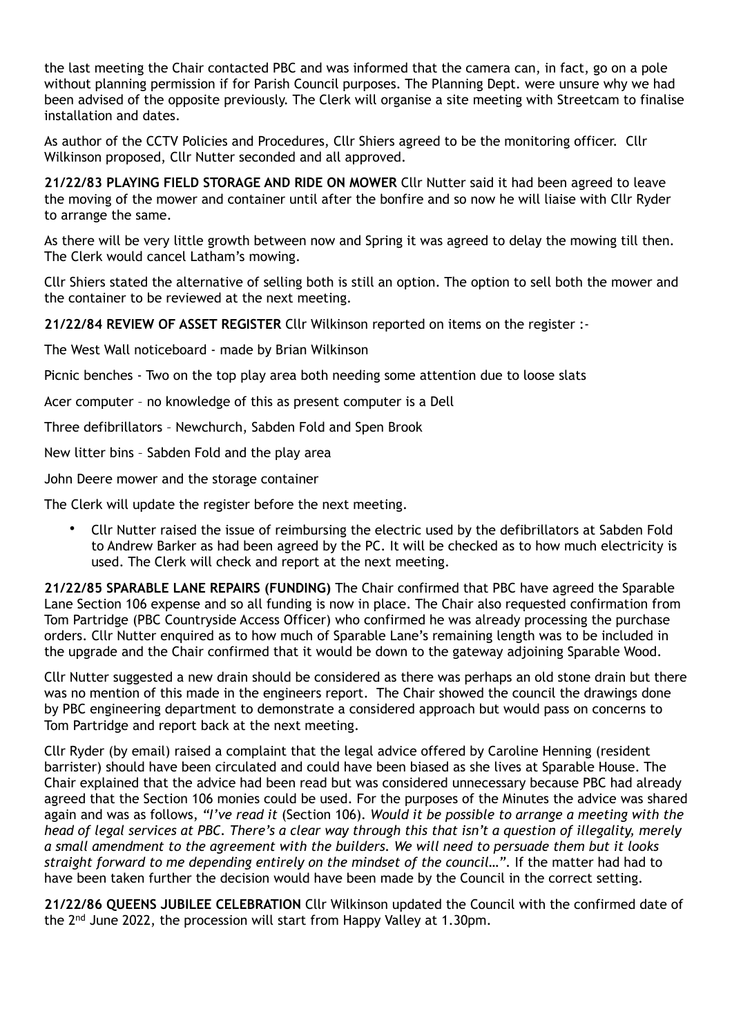the last meeting the Chair contacted PBC and was informed that the camera can, in fact, go on a pole without planning permission if for Parish Council purposes. The Planning Dept. were unsure why we had been advised of the opposite previously. The Clerk will organise a site meeting with Streetcam to finalise installation and dates.

As author of the CCTV Policies and Procedures, Cllr Shiers agreed to be the monitoring officer. Cllr Wilkinson proposed, Cllr Nutter seconded and all approved.

**21/22/83 PLAYING FIELD STORAGE AND RIDE ON MOWER** Cllr Nutter said it had been agreed to leave the moving of the mower and container until after the bonfire and so now he will liaise with Cllr Ryder to arrange the same.

As there will be very little growth between now and Spring it was agreed to delay the mowing till then. The Clerk would cancel Latham's mowing.

Cllr Shiers stated the alternative of selling both is still an option. The option to sell both the mower and the container to be reviewed at the next meeting.

**21/22/84 REVIEW OF ASSET REGISTER** Cllr Wilkinson reported on items on the register :-

The West Wall noticeboard - made by Brian Wilkinson

Picnic benches - Two on the top play area both needing some attention due to loose slats

Acer computer – no knowledge of this as present computer is a Dell

Three defibrillators – Newchurch, Sabden Fold and Spen Brook

New litter bins – Sabden Fold and the play area

John Deere mower and the storage container

The Clerk will update the register before the next meeting.

• Cllr Nutter raised the issue of reimbursing the electric used by the defibrillators at Sabden Fold to Andrew Barker as had been agreed by the PC. It will be checked as to how much electricity is used. The Clerk will check and report at the next meeting.

**21/22/85 SPARABLE LANE REPAIRS (FUNDING)** The Chair confirmed that PBC have agreed the Sparable Lane Section 106 expense and so all funding is now in place. The Chair also requested confirmation from Tom Partridge (PBC Countryside Access Officer) who confirmed he was already processing the purchase orders. Cllr Nutter enquired as to how much of Sparable Lane's remaining length was to be included in the upgrade and the Chair confirmed that it would be down to the gateway adjoining Sparable Wood.

Cllr Nutter suggested a new drain should be considered as there was perhaps an old stone drain but there was no mention of this made in the engineers report. The Chair showed the council the drawings done by PBC engineering department to demonstrate a considered approach but would pass on concerns to Tom Partridge and report back at the next meeting.

Cllr Ryder (by email) raised a complaint that the legal advice offered by Caroline Henning (resident barrister) should have been circulated and could have been biased as she lives at Sparable House. The Chair explained that the advice had been read but was considered unnecessary because PBC had already agreed that the Section 106 monies could be used. For the purposes of the Minutes the advice was shared again and was as follows, *"I've read it* (Section 106)*. Would it be possible to arrange a meeting with the head of legal services at PBC. There's a clear way through this that isn't a question of illegality, merely a small amendment to the agreement with the builders. We will need to persuade them but it looks*  straight forward to me depending entirely on the mindset of the council...". If the matter had had to have been taken further the decision would have been made by the Council in the correct setting.

**21/22/86 QUEENS JUBILEE CELEBRATION** Cllr Wilkinson updated the Council with the confirmed date of the 2nd June 2022, the procession will start from Happy Valley at 1.30pm.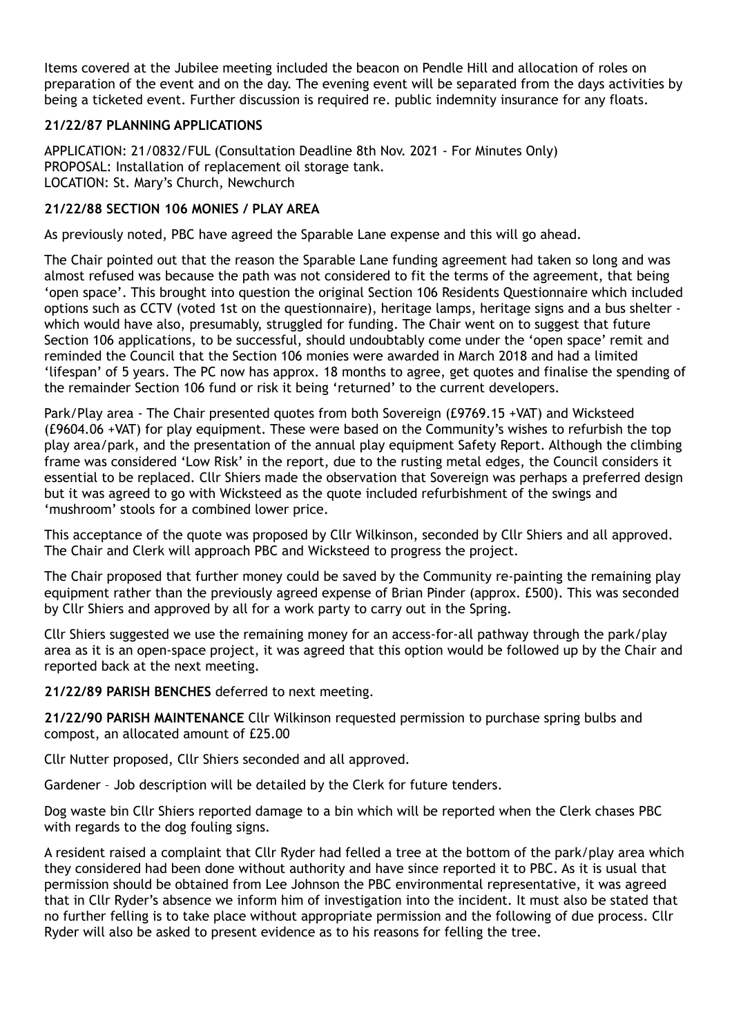Items covered at the Jubilee meeting included the beacon on Pendle Hill and allocation of roles on preparation of the event and on the day. The evening event will be separated from the days activities by being a ticketed event. Further discussion is required re. public indemnity insurance for any floats.

#### **21/22/87 PLANNING APPLICATIONS**

APPLICATION: 21/0832/FUL (Consultation Deadline 8th Nov. 2021 - For Minutes Only) PROPOSAL: Installation of replacement oil storage tank. LOCATION: St. Mary's Church, Newchurch

#### **21/22/88 SECTION 106 MONIES / PLAY AREA**

As previously noted, PBC have agreed the Sparable Lane expense and this will go ahead.

The Chair pointed out that the reason the Sparable Lane funding agreement had taken so long and was almost refused was because the path was not considered to fit the terms of the agreement, that being 'open space'. This brought into question the original Section 106 Residents Questionnaire which included options such as CCTV (voted 1st on the questionnaire), heritage lamps, heritage signs and a bus shelter which would have also, presumably, struggled for funding. The Chair went on to suggest that future Section 106 applications, to be successful, should undoubtably come under the 'open space' remit and reminded the Council that the Section 106 monies were awarded in March 2018 and had a limited 'lifespan' of 5 years. The PC now has approx. 18 months to agree, get quotes and finalise the spending of the remainder Section 106 fund or risk it being 'returned' to the current developers.

Park/Play area - The Chair presented quotes from both Sovereign (£9769.15 +VAT) and Wicksteed (£9604.06 +VAT) for play equipment. These were based on the Community's wishes to refurbish the top play area/park, and the presentation of the annual play equipment Safety Report. Although the climbing frame was considered 'Low Risk' in the report, due to the rusting metal edges, the Council considers it essential to be replaced. Cllr Shiers made the observation that Sovereign was perhaps a preferred design but it was agreed to go with Wicksteed as the quote included refurbishment of the swings and 'mushroom' stools for a combined lower price.

This acceptance of the quote was proposed by Cllr Wilkinson, seconded by Cllr Shiers and all approved. The Chair and Clerk will approach PBC and Wicksteed to progress the project.

The Chair proposed that further money could be saved by the Community re-painting the remaining play equipment rather than the previously agreed expense of Brian Pinder (approx. £500). This was seconded by Cllr Shiers and approved by all for a work party to carry out in the Spring.

Cllr Shiers suggested we use the remaining money for an access-for-all pathway through the park/play area as it is an open-space project, it was agreed that this option would be followed up by the Chair and reported back at the next meeting.

**21/22/89 PARISH BENCHES** deferred to next meeting.

**21/22/90 PARISH MAINTENANCE** Cllr Wilkinson requested permission to purchase spring bulbs and compost, an allocated amount of £25.00

Cllr Nutter proposed, Cllr Shiers seconded and all approved.

Gardener – Job description will be detailed by the Clerk for future tenders.

Dog waste bin Cllr Shiers reported damage to a bin which will be reported when the Clerk chases PBC with regards to the dog fouling signs.

A resident raised a complaint that Cllr Ryder had felled a tree at the bottom of the park/play area which they considered had been done without authority and have since reported it to PBC. As it is usual that permission should be obtained from Lee Johnson the PBC environmental representative, it was agreed that in Cllr Ryder's absence we inform him of investigation into the incident. It must also be stated that no further felling is to take place without appropriate permission and the following of due process. Cllr Ryder will also be asked to present evidence as to his reasons for felling the tree.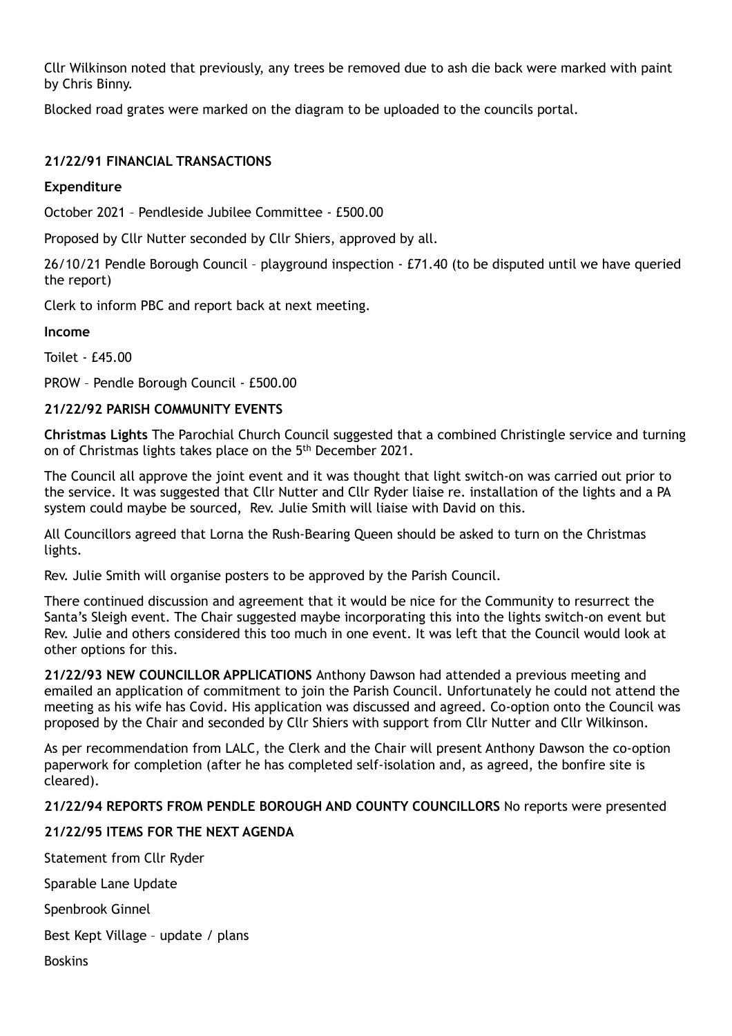Cllr Wilkinson noted that previously, any trees be removed due to ash die back were marked with paint by Chris Binny.

Blocked road grates were marked on the diagram to be uploaded to the councils portal.

#### **21/22/91 FINANCIAL TRANSACTIONS**

#### **Expenditure**

October 2021 – Pendleside Jubilee Committee - £500.00

Proposed by Cllr Nutter seconded by Cllr Shiers, approved by all.

26/10/21 Pendle Borough Council – playground inspection - £71.40 (to be disputed until we have queried the report)

Clerk to inform PBC and report back at next meeting.

#### **Income**

Toilet - £45.00

PROW – Pendle Borough Council - £500.00

#### **21/22/92 PARISH COMMUNITY EVENTS**

**Christmas Lights** The Parochial Church Council suggested that a combined Christingle service and turning on of Christmas lights takes place on the 5<sup>th</sup> December 2021.

The Council all approve the joint event and it was thought that light switch-on was carried out prior to the service. It was suggested that Cllr Nutter and Cllr Ryder liaise re. installation of the lights and a PA system could maybe be sourced, Rev. Julie Smith will liaise with David on this.

All Councillors agreed that Lorna the Rush-Bearing Queen should be asked to turn on the Christmas lights.

Rev. Julie Smith will organise posters to be approved by the Parish Council.

There continued discussion and agreement that it would be nice for the Community to resurrect the Santa's Sleigh event. The Chair suggested maybe incorporating this into the lights switch-on event but Rev. Julie and others considered this too much in one event. It was left that the Council would look at other options for this.

**21/22/93 NEW COUNCILLOR APPLICATIONS** Anthony Dawson had attended a previous meeting and emailed an application of commitment to join the Parish Council. Unfortunately he could not attend the meeting as his wife has Covid. His application was discussed and agreed. Co-option onto the Council was proposed by the Chair and seconded by Cllr Shiers with support from Cllr Nutter and Cllr Wilkinson.

As per recommendation from LALC, the Clerk and the Chair will present Anthony Dawson the co-option paperwork for completion (after he has completed self-isolation and, as agreed, the bonfire site is cleared).

#### **21/22/94 REPORTS FROM PENDLE BOROUGH AND COUNTY COUNCILLORS** No reports were presented

## **21/22/95 ITEMS FOR THE NEXT AGENDA**

Statement from Cllr Ryder

Sparable Lane Update

Spenbrook Ginnel

Best Kept Village – update / plans

Boskins